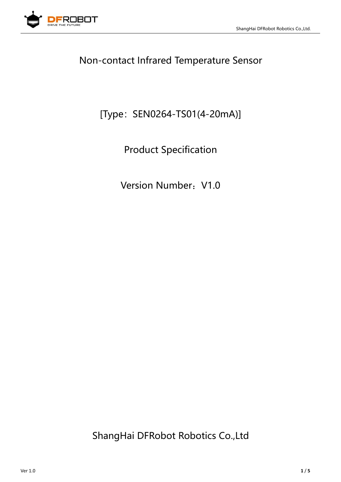

# Non-contact Infrared Temperature Sensor

# [Type: SEN0264-TS01(4-20mA)]

Product Specification

Version Number: V1.0

ShangHai DFRobot Robotics Co.,Ltd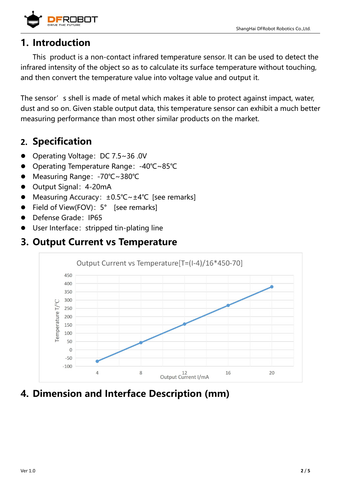

### **1. Introduction**

This product is a non-contact infrared temperature sensor. It can be used to detect the infrared intensity of the object so as to calculate its surface temperature without touching, and then convert the temperature value into voltage value and output it.

The sensor's shell is made of metal which makes it able to protect against impact, water, dust and so on. Given stable output data, this temperature sensor can exhibit a much better measuring performance than most other similar products on the market.

## **2. Specification**

- Operating Voltage: DC 7.5~36 .0V
- Operating Temperature Range:-40℃~85℃
- Measuring Range:-70℃~380℃
- Output Signal: 4-20mA
- Measuring Accuracy: ±0.5℃~±4℃ [see remarks]
- Field of View(FOV): 5° [see remarks]
- Defense Grade: IP65
- User Interface: stripped tin-plating line

#### **3. Output Current vs Temperature**



## **4. Dimension and Interface Description (mm)**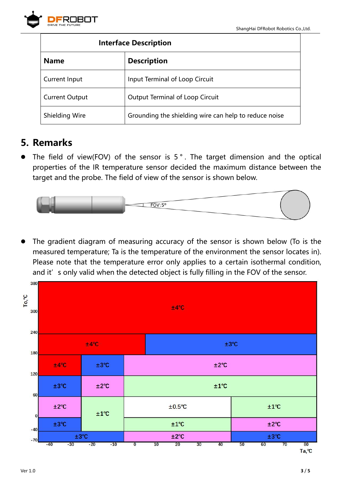

| <b>Interface Description</b> |                                                       |
|------------------------------|-------------------------------------------------------|
| <b>Name</b>                  | <b>Description</b>                                    |
| Current Input                | Input Terminal of Loop Circuit                        |
| <b>Current Output</b>        | <b>Output Terminal of Loop Circuit</b>                |
| <b>Shielding Wire</b>        | Grounding the shielding wire can help to reduce noise |

## **5. Remarks**

The field of view(FOV) of the sensor is  $5°$ . The target dimension and the optical properties of the IR temperature sensor decided the maximum distance between the target and the probe. The field of view of the sensor is shown below.



 The gradient diagram of measuring accuracy of the sensor is shown below (To is the measured temperature; Ta is the temperature of the environment the sensor locates in). Please note that the temperature error only applies to a certain isothermal condition, and it' s only valid when the detected object is fully filling in the FOV of the sensor.

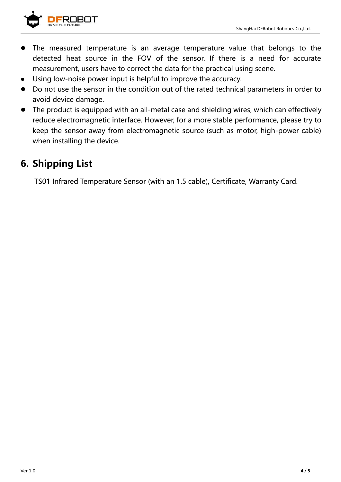

- The measured temperature is an average temperature value that belongs to the detected heat source in the FOV of the sensor. If there is a need for accurate measurement, users have to correct the data for the practical using scene.
- Using low-noise power input is helpful to improve the accuracy.
- Do not use the sensor in the condition out of the rated technical parameters in order to avoid device damage.
- The product is equipped with an all-metal case and shielding wires, which can effectively reduce electromagnetic interface. However, for a more stable performance, please try to keep the sensor away from electromagnetic source (such as motor, high-power cable) when installing the device.

## **6. Shipping List**

TS01 Infrared Temperature Sensor(with an 1.5 cable), Certificate, Warranty Card.